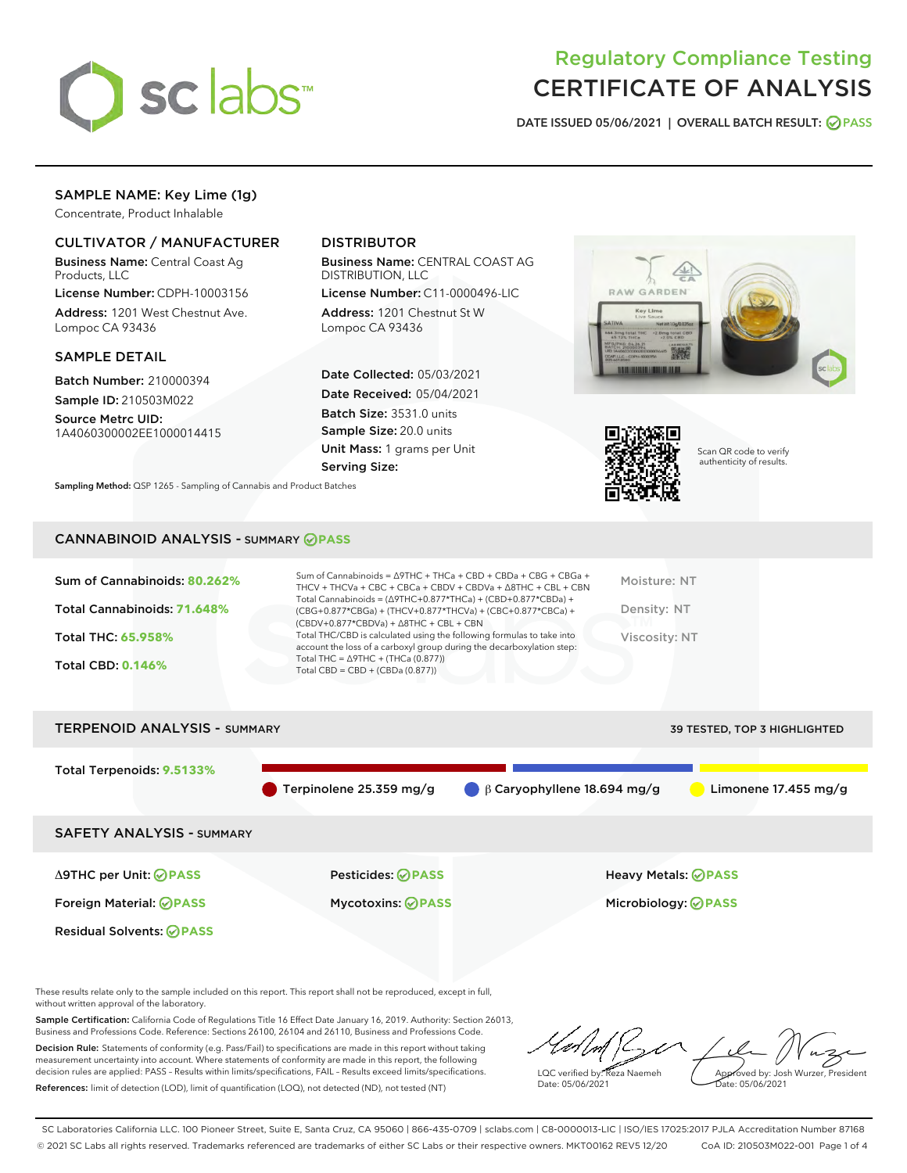

## Regulatory Compliance Testing CERTIFICATE OF ANALYSIS

DATE ISSUED 05/06/2021 | OVERALL BATCH RESULT: @ PASS

## SAMPLE NAME: Key Lime (1g)

Concentrate, Product Inhalable

## CULTIVATOR / MANUFACTURER

Business Name: Central Coast Ag Products, LLC

License Number: CDPH-10003156 Address: 1201 West Chestnut Ave. Lompoc CA 93436

### SAMPLE DETAIL

Batch Number: 210000394 Sample ID: 210503M022

Source Metrc UID: 1A4060300002EE1000014415

## DISTRIBUTOR

Business Name: CENTRAL COAST AG DISTRIBUTION, LLC

License Number: C11-0000496-LIC Address: 1201 Chestnut St W Lompoc CA 93436

Date Collected: 05/03/2021 Date Received: 05/04/2021 Batch Size: 3531.0 units Sample Size: 20.0 units Unit Mass: 1 grams per Unit Serving Size:





Scan QR code to verify authenticity of results.

CANNABINOID ANALYSIS - SUMMARY **PASS**

Sampling Method: QSP 1265 - Sampling of Cannabis and Product Batches

| Sum of Cannabinoids: 80.262% | Sum of Cannabinoids = $\triangle$ 9THC + THCa + CBD + CBDa + CBG + CBGa +<br>THCV + THCVa + CBC + CBCa + CBDV + CBDVa + $\Delta$ 8THC + CBL + CBN                                    | Moisture: NT  |
|------------------------------|--------------------------------------------------------------------------------------------------------------------------------------------------------------------------------------|---------------|
| Total Cannabinoids: 71.648%  | Total Cannabinoids = $(\Delta$ 9THC+0.877*THCa) + (CBD+0.877*CBDa) +<br>(CBG+0.877*CBGa) + (THCV+0.877*THCVa) + (CBC+0.877*CBCa) +<br>$(CBDV+0.877*CBDVa) + \Delta 8THC + CBL + CBN$ | Density: NT   |
| <b>Total THC: 65.958%</b>    | Total THC/CBD is calculated using the following formulas to take into<br>account the loss of a carboxyl group during the decarboxylation step:                                       | Viscosity: NT |
| <b>Total CBD: 0.146%</b>     | Total THC = $\triangle$ 9THC + (THCa (0.877))<br>Total CBD = $CBD + (CBDa (0.877))$                                                                                                  |               |
|                              |                                                                                                                                                                                      |               |

# TERPENOID ANALYSIS - SUMMARY 39 TESTED, TOP 3 HIGHLIGHTED Total Terpenoids: **9.5133%** Terpinolene 25.359 mg/g  $\qquad \qquad \beta$  Caryophyllene 18.694 mg/g  $\qquad \qquad \blacksquare$  Limonene 17.455 mg/g SAFETY ANALYSIS - SUMMARY Δ9THC per Unit: **PASS** Pesticides: **PASS** Heavy Metals: **PASS** Foreign Material: **PASS** Mycotoxins: **PASS** Microbiology: **PASS** Residual Solvents: **OPASS**

These results relate only to the sample included on this report. This report shall not be reproduced, except in full, without written approval of the laboratory.

Sample Certification: California Code of Regulations Title 16 Effect Date January 16, 2019. Authority: Section 26013, Business and Professions Code. Reference: Sections 26100, 26104 and 26110, Business and Professions Code.

Decision Rule: Statements of conformity (e.g. Pass/Fail) to specifications are made in this report without taking measurement uncertainty into account. Where statements of conformity are made in this report, the following decision rules are applied: PASS – Results within limits/specifications, FAIL – Results exceed limits/specifications. References: limit of detection (LOD), limit of quantification (LOQ), not detected (ND), not tested (NT)

LQC verified by: Reza Naemeh Date: 05/06/2021 Approved by: Josh Wurzer, President Date: 05/06/2021

SC Laboratories California LLC. 100 Pioneer Street, Suite E, Santa Cruz, CA 95060 | 866-435-0709 | sclabs.com | C8-0000013-LIC | ISO/IES 17025:2017 PJLA Accreditation Number 87168 © 2021 SC Labs all rights reserved. Trademarks referenced are trademarks of either SC Labs or their respective owners. MKT00162 REV5 12/20 CoA ID: 210503M022-001 Page 1 of 4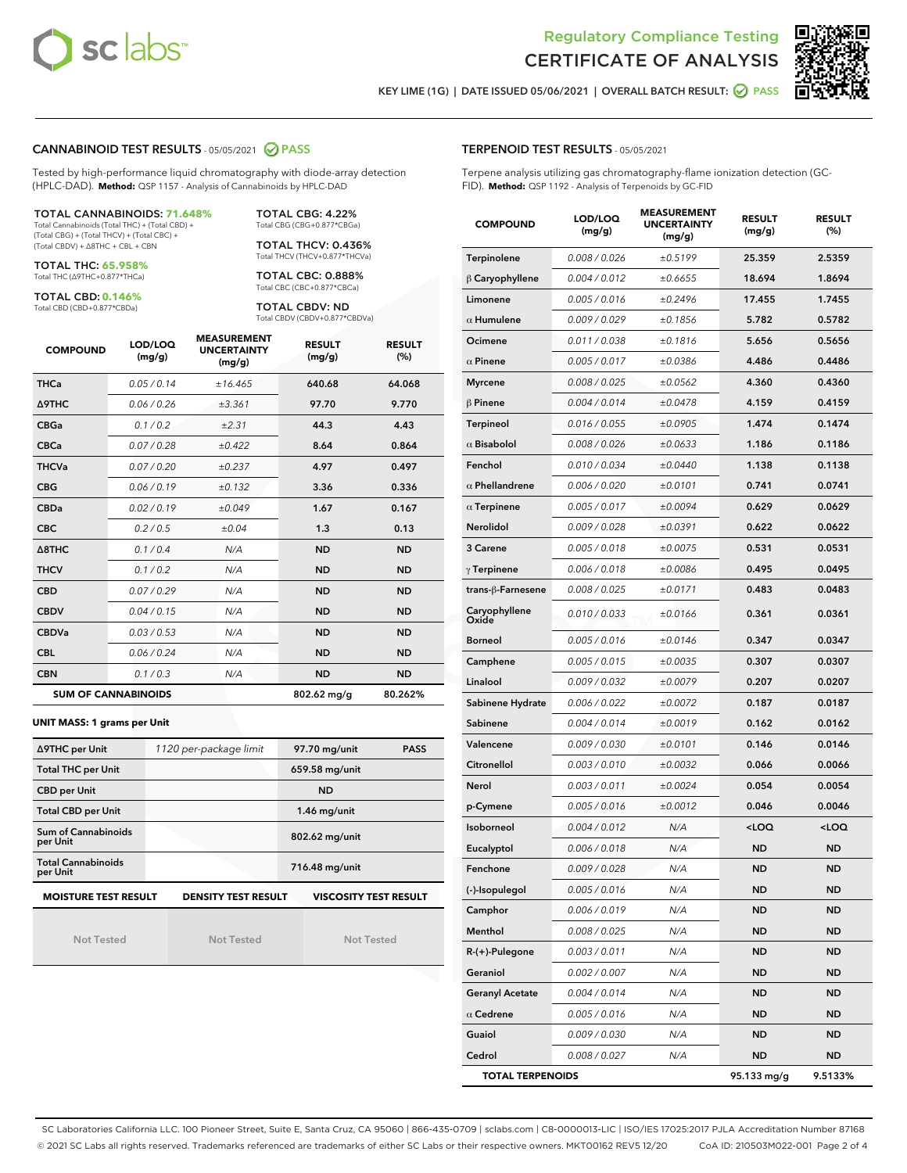



KEY LIME (1G) | DATE ISSUED 05/06/2021 | OVERALL BATCH RESULT:  $\bigcirc$  PASS

## CANNABINOID TEST RESULTS - 05/05/2021 2 PASS

Tested by high-performance liquid chromatography with diode-array detection (HPLC-DAD). **Method:** QSP 1157 - Analysis of Cannabinoids by HPLC-DAD

TOTAL CANNABINOIDS: **71.648%** Total Cannabinoids (Total THC) + (Total CBD) +

(Total CBG) + (Total THCV) + (Total CBC) + (Total CBDV) + ∆8THC + CBL + CBN

TOTAL THC: **65.958%** Total THC (∆9THC+0.877\*THCa)

TOTAL CBD: **0.146%**

Total CBD (CBD+0.877\*CBDa)

TOTAL CBG: 4.22% Total CBG (CBG+0.877\*CBGa)

TOTAL THCV: 0.436% Total THCV (THCV+0.877\*THCVa)

TOTAL CBC: 0.888% Total CBC (CBC+0.877\*CBCa)

TOTAL CBDV: ND Total CBDV (CBDV+0.877\*CBDVa)

| <b>COMPOUND</b>  | LOD/LOQ<br>(mg/g)          | <b>MEASUREMENT</b><br><b>UNCERTAINTY</b><br>(mg/g) | <b>RESULT</b><br>(mg/g) | <b>RESULT</b><br>(%) |
|------------------|----------------------------|----------------------------------------------------|-------------------------|----------------------|
| <b>THCa</b>      | 0.05 / 0.14                | ±16.465                                            | 640.68                  | 64.068               |
| <b>A9THC</b>     | 0.06/0.26                  | ±3.361                                             | 97.70                   | 9.770                |
| <b>CBGa</b>      | 0.1 / 0.2                  | ±2.31                                              | 44.3                    | 4.43                 |
| <b>CBCa</b>      | 0.07/0.28                  | ±0.422                                             | 8.64                    | 0.864                |
| <b>THCVa</b>     | 0.07 / 0.20                | ±0.237                                             | 4.97                    | 0.497                |
| <b>CBG</b>       | 0.06/0.19                  | ±0.132                                             | 3.36                    | 0.336                |
| <b>CBDa</b>      | 0.02/0.19                  | ±0.049                                             | 1.67                    | 0.167                |
| <b>CBC</b>       | 0.2/0.5                    | ±0.04                                              | 1.3                     | 0.13                 |
| $\triangle$ 8THC | 0.1/0.4                    | N/A                                                | <b>ND</b>               | <b>ND</b>            |
| <b>THCV</b>      | 0.1/0.2                    | N/A                                                | <b>ND</b>               | <b>ND</b>            |
| <b>CBD</b>       | 0.07/0.29                  | N/A                                                | <b>ND</b>               | <b>ND</b>            |
| <b>CBDV</b>      | 0.04/0.15                  | N/A                                                | <b>ND</b>               | <b>ND</b>            |
| <b>CBDVa</b>     | 0.03/0.53                  | N/A                                                | <b>ND</b>               | <b>ND</b>            |
| <b>CBL</b>       | 0.06 / 0.24                | N/A                                                | <b>ND</b>               | <b>ND</b>            |
| <b>CBN</b>       | 0.1/0.3                    | N/A                                                | <b>ND</b>               | <b>ND</b>            |
|                  | <b>SUM OF CANNABINOIDS</b> |                                                    | 802.62 mg/g             | 80.262%              |

#### **UNIT MASS: 1 grams per Unit**

| ∆9THC per Unit                                                                            | 1120 per-package limit | 97.70 mg/unit<br><b>PASS</b> |  |  |  |
|-------------------------------------------------------------------------------------------|------------------------|------------------------------|--|--|--|
| <b>Total THC per Unit</b>                                                                 |                        | 659.58 mg/unit               |  |  |  |
| <b>CBD per Unit</b>                                                                       |                        | <b>ND</b>                    |  |  |  |
| <b>Total CBD per Unit</b>                                                                 |                        | 1.46 mg/unit                 |  |  |  |
| Sum of Cannabinoids<br>per Unit                                                           |                        | 802.62 mg/unit               |  |  |  |
| <b>Total Cannabinoids</b><br>per Unit                                                     |                        | 716.48 mg/unit               |  |  |  |
| <b>MOISTURE TEST RESULT</b><br><b>VISCOSITY TEST RESULT</b><br><b>DENSITY TEST RESULT</b> |                        |                              |  |  |  |

Not Tested

Not Tested

Not Tested

### TERPENOID TEST RESULTS - 05/05/2021

Terpene analysis utilizing gas chromatography-flame ionization detection (GC-FID). **Method:** QSP 1192 - Analysis of Terpenoids by GC-FID

| <b>COMPOUND</b>         | LOD/LOQ<br>(mg/g) | <b>MEASUREMENT</b><br><b>UNCERTAINTY</b><br>(mg/g) | <b>RESULT</b><br>(mg/g)                         | <b>RESULT</b><br>$(\%)$ |
|-------------------------|-------------------|----------------------------------------------------|-------------------------------------------------|-------------------------|
| Terpinolene             | 0.008 / 0.026     | ±0.5199                                            | 25.359                                          | 2.5359                  |
| $\beta$ Caryophyllene   | 0.004 / 0.012     | ±0.6655                                            | 18.694                                          | 1.8694                  |
| Limonene                | 0.005 / 0.016     | ±0.2496                                            | 17.455                                          | 1.7455                  |
| $\alpha$ Humulene       | 0.009 / 0.029     | ±0.1856                                            | 5.782                                           | 0.5782                  |
| Ocimene                 | 0.011 / 0.038     | ±0.1816                                            | 5.656                                           | 0.5656                  |
| $\alpha$ Pinene         | 0.005 / 0.017     | ±0.0386                                            | 4.486                                           | 0.4486                  |
| <b>Myrcene</b>          | 0.008 / 0.025     | ±0.0562                                            | 4.360                                           | 0.4360                  |
| $\beta$ Pinene          | 0.004 / 0.014     | ±0.0478                                            | 4.159                                           | 0.4159                  |
| <b>Terpineol</b>        | 0.016 / 0.055     | ±0.0905                                            | 1.474                                           | 0.1474                  |
| $\alpha$ Bisabolol      | 0.008 / 0.026     | ±0.0633                                            | 1.186                                           | 0.1186                  |
| Fenchol                 | 0.010 / 0.034     | ±0.0440                                            | 1.138                                           | 0.1138                  |
| $\alpha$ Phellandrene   | 0.006 / 0.020     | ±0.0101                                            | 0.741                                           | 0.0741                  |
| $\alpha$ Terpinene      | 0.005 / 0.017     | ±0.0094                                            | 0.629                                           | 0.0629                  |
| Nerolidol               | 0.009 / 0.028     | ±0.0391                                            | 0.622                                           | 0.0622                  |
| 3 Carene                | 0.005 / 0.018     | ±0.0075                                            | 0.531                                           | 0.0531                  |
| $\gamma$ Terpinene      | 0.006 / 0.018     | ±0.0086                                            | 0.495                                           | 0.0495                  |
| trans-ß-Farnesene       | 0.008 / 0.025     | ±0.0171                                            | 0.483                                           | 0.0483                  |
| Caryophyllene<br>Oxide  | 0.010 / 0.033     | ±0.0166                                            | 0.361                                           | 0.0361                  |
| <b>Borneol</b>          | 0.005 / 0.016     | ±0.0146                                            | 0.347                                           | 0.0347                  |
| Camphene                | 0.005 / 0.015     | ±0.0035                                            | 0.307                                           | 0.0307                  |
| Linalool                | 0.009 / 0.032     | ±0.0079                                            | 0.207                                           | 0.0207                  |
| Sabinene Hydrate        | 0.006 / 0.022     | ±0.0072                                            | 0.187                                           | 0.0187                  |
| Sabinene                | 0.004 / 0.014     | ±0.0019                                            | 0.162                                           | 0.0162                  |
| Valencene               | 0.009 / 0.030     | ±0.0101                                            | 0.146                                           | 0.0146                  |
| Citronellol             | 0.003 / 0.010     | ±0.0032                                            | 0.066                                           | 0.0066                  |
| Nerol                   | 0.003 / 0.011     | ±0.0024                                            | 0.054                                           | 0.0054                  |
| p-Cymene                | 0.005 / 0.016     | ±0.0012                                            | 0.046                                           | 0.0046                  |
| Isoborneol              | 0.004 / 0.012     | N/A                                                | <loq< th=""><th><loq< th=""></loq<></th></loq<> | <loq< th=""></loq<>     |
| Eucalyptol              | 0.006 / 0.018     | N/A                                                | ND                                              | <b>ND</b>               |
| Fenchone                | 0.009 / 0.028     | N/A                                                | <b>ND</b>                                       | <b>ND</b>               |
| (-)-Isopulegol          | 0.005 / 0.016     | N/A                                                | ND                                              | ND                      |
| Camphor                 | 0.006 / 0.019     | N/A                                                | ND                                              | ND                      |
| Menthol                 | 0.008 / 0.025     | N/A                                                | ND                                              | ND                      |
| R-(+)-Pulegone          | 0.003 / 0.011     | N/A                                                | ND                                              | ND                      |
| Geraniol                | 0.002 / 0.007     | N/A                                                | ND                                              | ND                      |
| <b>Geranyl Acetate</b>  | 0.004 / 0.014     | N/A                                                | ND                                              | ND                      |
| $\alpha$ Cedrene        | 0.005 / 0.016     | N/A                                                | ND                                              | ND                      |
| Guaiol                  | 0.009 / 0.030     | N/A                                                | ND                                              | ND                      |
| Cedrol                  | 0.008 / 0.027     | N/A                                                | ND                                              | <b>ND</b>               |
| <b>TOTAL TERPENOIDS</b> |                   |                                                    | 95.133 mg/g                                     | 9.5133%                 |

SC Laboratories California LLC. 100 Pioneer Street, Suite E, Santa Cruz, CA 95060 | 866-435-0709 | sclabs.com | C8-0000013-LIC | ISO/IES 17025:2017 PJLA Accreditation Number 87168 © 2021 SC Labs all rights reserved. Trademarks referenced are trademarks of either SC Labs or their respective owners. MKT00162 REV5 12/20 CoA ID: 210503M022-001 Page 2 of 4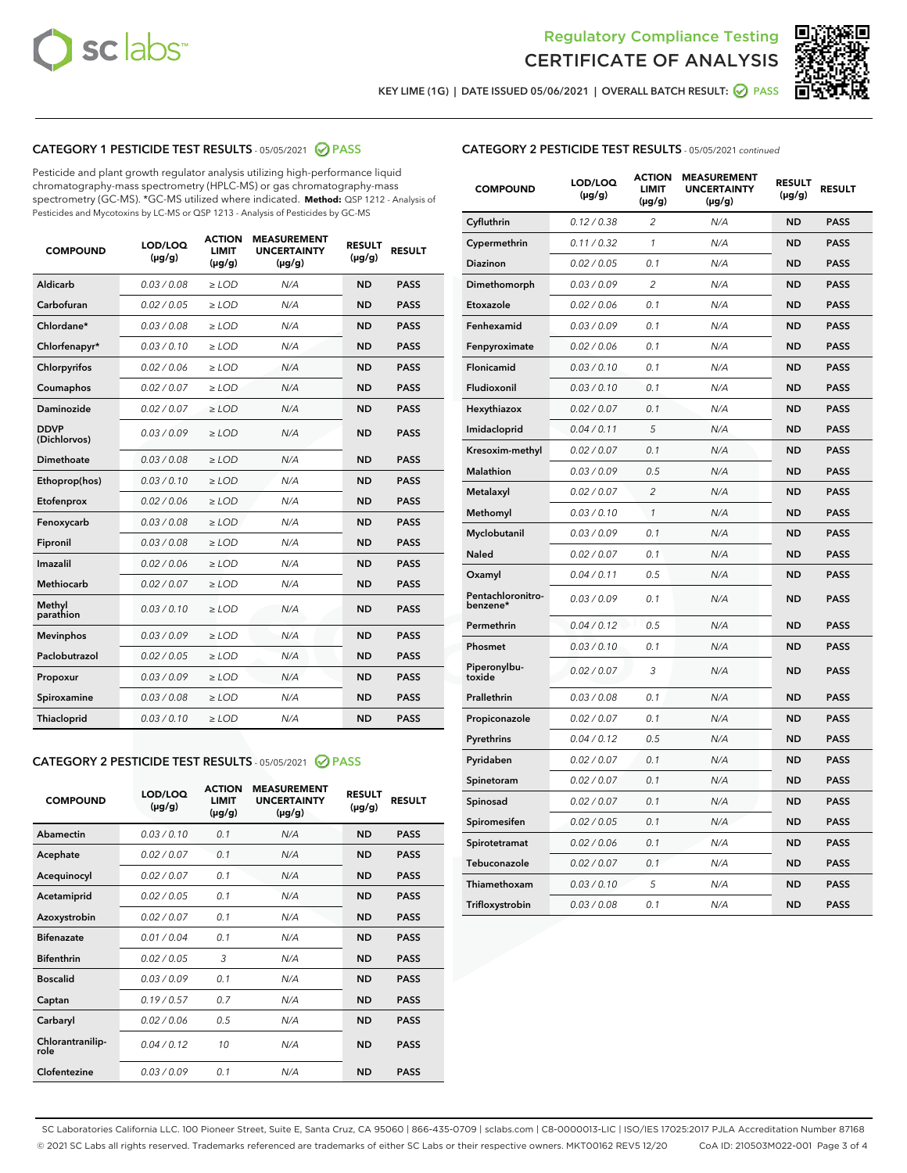



KEY LIME (1G) | DATE ISSUED 05/06/2021 | OVERALL BATCH RESULT: 2 PASS

## CATEGORY 1 PESTICIDE TEST RESULTS - 05/05/2021 2 PASS

Pesticide and plant growth regulator analysis utilizing high-performance liquid chromatography-mass spectrometry (HPLC-MS) or gas chromatography-mass spectrometry (GC-MS). \*GC-MS utilized where indicated. **Method:** QSP 1212 - Analysis of Pesticides and Mycotoxins by LC-MS or QSP 1213 - Analysis of Pesticides by GC-MS

| <b>COMPOUND</b>             | LOD/LOQ<br>$(\mu g/g)$ | <b>ACTION</b><br><b>LIMIT</b><br>$(\mu g/g)$ | <b>MEASUREMENT</b><br><b>UNCERTAINTY</b><br>$(\mu g/g)$ | <b>RESULT</b><br>$(\mu g/g)$ | <b>RESULT</b> |
|-----------------------------|------------------------|----------------------------------------------|---------------------------------------------------------|------------------------------|---------------|
| Aldicarb                    | 0.03/0.08              | $>$ LOD                                      | N/A                                                     | <b>ND</b>                    | <b>PASS</b>   |
| Carbofuran                  | 0.02 / 0.05            | $\ge$ LOD                                    | N/A                                                     | <b>ND</b>                    | <b>PASS</b>   |
| Chlordane*                  | 0.03 / 0.08            | $\ge$ LOD                                    | N/A                                                     | <b>ND</b>                    | <b>PASS</b>   |
| Chlorfenapyr*               | 0.03/0.10              | $\ge$ LOD                                    | N/A                                                     | <b>ND</b>                    | <b>PASS</b>   |
| Chlorpyrifos                | 0.02 / 0.06            | $\ge$ LOD                                    | N/A                                                     | <b>ND</b>                    | <b>PASS</b>   |
| Coumaphos                   | 0.02 / 0.07            | $\ge$ LOD                                    | N/A                                                     | <b>ND</b>                    | <b>PASS</b>   |
| Daminozide                  | 0.02/0.07              | $>$ LOD                                      | N/A                                                     | <b>ND</b>                    | <b>PASS</b>   |
| <b>DDVP</b><br>(Dichlorvos) | 0.03/0.09              | $\ge$ LOD                                    | N/A                                                     | <b>ND</b>                    | <b>PASS</b>   |
| <b>Dimethoate</b>           | 0.03 / 0.08            | $\ge$ LOD                                    | N/A                                                     | <b>ND</b>                    | <b>PASS</b>   |
| Ethoprop(hos)               | 0.03/0.10              | $\ge$ LOD                                    | N/A                                                     | <b>ND</b>                    | <b>PASS</b>   |
| Etofenprox                  | 0.02 / 0.06            | $\ge$ LOD                                    | N/A                                                     | <b>ND</b>                    | <b>PASS</b>   |
| Fenoxycarb                  | 0.03/0.08              | $\ge$ LOD                                    | N/A                                                     | <b>ND</b>                    | <b>PASS</b>   |
| Fipronil                    | 0.03 / 0.08            | $\ge$ LOD                                    | N/A                                                     | <b>ND</b>                    | <b>PASS</b>   |
| Imazalil                    | 0.02 / 0.06            | $\geq$ LOD                                   | N/A                                                     | <b>ND</b>                    | <b>PASS</b>   |
| Methiocarb                  | 0.02 / 0.07            | $>$ LOD                                      | N/A                                                     | <b>ND</b>                    | <b>PASS</b>   |
| Methyl<br>parathion         | 0.03/0.10              | $\ge$ LOD                                    | N/A                                                     | <b>ND</b>                    | <b>PASS</b>   |
| <b>Mevinphos</b>            | 0.03/0.09              | $\ge$ LOD                                    | N/A                                                     | <b>ND</b>                    | <b>PASS</b>   |
| Paclobutrazol               | 0.02 / 0.05            | $>$ LOD                                      | N/A                                                     | <b>ND</b>                    | <b>PASS</b>   |
| Propoxur                    | 0.03/0.09              | $\ge$ LOD                                    | N/A                                                     | <b>ND</b>                    | <b>PASS</b>   |
| Spiroxamine                 | 0.03 / 0.08            | $\ge$ LOD                                    | N/A                                                     | <b>ND</b>                    | <b>PASS</b>   |
| <b>Thiacloprid</b>          | 0.03/0.10              | $\ge$ LOD                                    | N/A                                                     | <b>ND</b>                    | <b>PASS</b>   |

### CATEGORY 2 PESTICIDE TEST RESULTS - 05/05/2021 @ PASS

| <b>COMPOUND</b>          | LOD/LOO<br>$(\mu g/g)$ | <b>ACTION</b><br>LIMIT<br>$(\mu g/g)$ | <b>MEASUREMENT</b><br><b>UNCERTAINTY</b><br>$(\mu g/g)$ | <b>RESULT</b><br>$(\mu g/g)$ | <b>RESULT</b> |  |
|--------------------------|------------------------|---------------------------------------|---------------------------------------------------------|------------------------------|---------------|--|
| Abamectin                | 0.03/0.10              | 0.1                                   | N/A                                                     | <b>ND</b>                    | <b>PASS</b>   |  |
| Acephate                 | 0.02/0.07              | 0.1                                   | N/A                                                     | <b>ND</b>                    | <b>PASS</b>   |  |
| Acequinocyl              | 0.02/0.07              | 0.1                                   | N/A                                                     | <b>ND</b>                    | <b>PASS</b>   |  |
| Acetamiprid              | 0.02/0.05              | 0.1                                   | N/A                                                     | <b>ND</b>                    | <b>PASS</b>   |  |
| Azoxystrobin             | 0.02/0.07              | 0.1                                   | N/A                                                     | <b>ND</b>                    | <b>PASS</b>   |  |
| <b>Bifenazate</b>        | 0.01 / 0.04            | 0.1                                   | N/A                                                     | <b>ND</b>                    | <b>PASS</b>   |  |
| <b>Bifenthrin</b>        | 0.02/0.05              | 3                                     | N/A                                                     | <b>ND</b>                    | <b>PASS</b>   |  |
| <b>Boscalid</b>          | 0.03/0.09              | 0.1                                   | N/A                                                     | <b>ND</b>                    | <b>PASS</b>   |  |
| Captan                   | 0.19/0.57              | 0.7                                   | N/A                                                     | <b>ND</b>                    | <b>PASS</b>   |  |
| Carbaryl                 | 0.02/0.06              | 0.5                                   | N/A                                                     | <b>ND</b>                    | <b>PASS</b>   |  |
| Chlorantranilip-<br>role | 0.04/0.12              | 10                                    | N/A                                                     | <b>ND</b>                    | <b>PASS</b>   |  |
| Clofentezine             | 0.03/0.09              | 0.1                                   | N/A                                                     | <b>ND</b>                    | <b>PASS</b>   |  |

## CATEGORY 2 PESTICIDE TEST RESULTS - 05/05/2021 continued

| <b>COMPOUND</b>               | LOD/LOQ<br>(µg/g) | <b>ACTION</b><br>LIMIT<br>$(\mu g/g)$ | <b>MEASUREMENT</b><br><b>UNCERTAINTY</b><br>(µg/g) | <b>RESULT</b><br>(µg/g) | <b>RESULT</b> |
|-------------------------------|-------------------|---------------------------------------|----------------------------------------------------|-------------------------|---------------|
| Cyfluthrin                    | 0.12 / 0.38       | 2                                     | N/A                                                | ND                      | <b>PASS</b>   |
| Cypermethrin                  | 0.11 / 0.32       | 1                                     | N/A                                                | ND                      | <b>PASS</b>   |
| Diazinon                      | 0.02 / 0.05       | 0.1                                   | N/A                                                | ND                      | <b>PASS</b>   |
| Dimethomorph                  | 0.03 / 0.09       | $\overline{c}$                        | N/A                                                | <b>ND</b>               | <b>PASS</b>   |
| Etoxazole                     | 0.02 / 0.06       | 0.1                                   | N/A                                                | ND                      | <b>PASS</b>   |
| Fenhexamid                    | 0.03 / 0.09       | 0.1                                   | N/A                                                | ND                      | <b>PASS</b>   |
| Fenpyroximate                 | 0.02 / 0.06       | 0.1                                   | N/A                                                | <b>ND</b>               | <b>PASS</b>   |
| Flonicamid                    | 0.03 / 0.10       | 0.1                                   | N/A                                                | <b>ND</b>               | <b>PASS</b>   |
| Fludioxonil                   | 0.03 / 0.10       | 0.1                                   | N/A                                                | <b>ND</b>               | <b>PASS</b>   |
| Hexythiazox                   | 0.02 / 0.07       | 0.1                                   | N/A                                                | <b>ND</b>               | <b>PASS</b>   |
| Imidacloprid                  | 0.04 / 0.11       | 5                                     | N/A                                                | <b>ND</b>               | <b>PASS</b>   |
| Kresoxim-methyl               | 0.02 / 0.07       | 0.1                                   | N/A                                                | ND                      | <b>PASS</b>   |
| Malathion                     | 0.03 / 0.09       | 0.5                                   | N/A                                                | <b>ND</b>               | <b>PASS</b>   |
| Metalaxyl                     | 0.02 / 0.07       | $\overline{c}$                        | N/A                                                | <b>ND</b>               | <b>PASS</b>   |
| Methomyl                      | 0.03 / 0.10       | 1                                     | N/A                                                | ND                      | <b>PASS</b>   |
| Myclobutanil                  | 0.03/0.09         | 0.1                                   | N/A                                                | <b>ND</b>               | <b>PASS</b>   |
| Naled                         | 0.02 / 0.07       | 0.1                                   | N/A                                                | ND                      | <b>PASS</b>   |
| Oxamyl                        | 0.04 / 0.11       | 0.5                                   | N/A                                                | ND                      | <b>PASS</b>   |
| Pentachloronitro-<br>benzene* | 0.03 / 0.09       | 0.1                                   | N/A                                                | ND                      | <b>PASS</b>   |
| Permethrin                    | 0.04/0.12         | 0.5                                   | N/A                                                | <b>ND</b>               | <b>PASS</b>   |
| Phosmet                       | 0.03 / 0.10       | 0.1                                   | N/A                                                | ND                      | <b>PASS</b>   |
| Piperonylbu-<br>toxide        | 0.02 / 0.07       | 3                                     | N/A                                                | <b>ND</b>               | <b>PASS</b>   |
| Prallethrin                   | 0.03 / 0.08       | 0.1                                   | N/A                                                | <b>ND</b>               | <b>PASS</b>   |
| Propiconazole                 | 0.02 / 0.07       | 0.1                                   | N/A                                                | ND                      | <b>PASS</b>   |
| Pyrethrins                    | 0.04 / 0.12       | 0.5                                   | N/A                                                | ND                      | <b>PASS</b>   |
| Pyridaben                     | 0.02 / 0.07       | 0.1                                   | N/A                                                | <b>ND</b>               | <b>PASS</b>   |
| Spinetoram                    | 0.02 / 0.07       | 0.1                                   | N/A                                                | ND                      | <b>PASS</b>   |
| Spinosad                      | 0.02 / 0.07       | 0.1                                   | N/A                                                | ND                      | <b>PASS</b>   |
| Spiromesifen                  | 0.02 / 0.05       | 0.1                                   | N/A                                                | <b>ND</b>               | <b>PASS</b>   |
| Spirotetramat                 | 0.02 / 0.06       | 0.1                                   | N/A                                                | ND                      | <b>PASS</b>   |
| Tebuconazole                  | 0.02 / 0.07       | 0.1                                   | N/A                                                | ND                      | <b>PASS</b>   |
| Thiamethoxam                  | 0.03 / 0.10       | 5                                     | N/A                                                | <b>ND</b>               | <b>PASS</b>   |
| Trifloxystrobin               | 0.03 / 0.08       | 0.1                                   | N/A                                                | <b>ND</b>               | <b>PASS</b>   |

SC Laboratories California LLC. 100 Pioneer Street, Suite E, Santa Cruz, CA 95060 | 866-435-0709 | sclabs.com | C8-0000013-LIC | ISO/IES 17025:2017 PJLA Accreditation Number 87168 © 2021 SC Labs all rights reserved. Trademarks referenced are trademarks of either SC Labs or their respective owners. MKT00162 REV5 12/20 CoA ID: 210503M022-001 Page 3 of 4